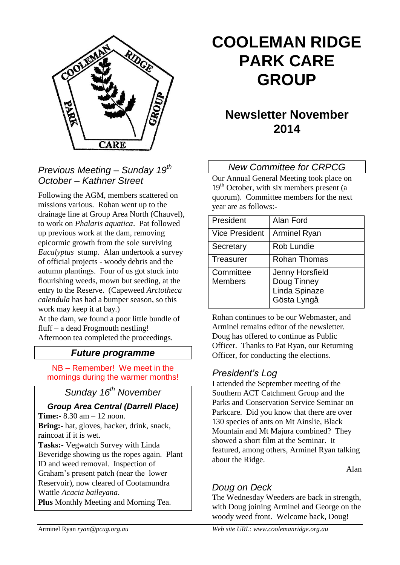

## *Previous Meeting – Sunday 19th October – Kathner Street*

Following the AGM, members scattered on missions various. Rohan went up to the drainage line at Group Area North (Chauvel), to work on *Phalaris aquatica*. Pat followed up previous work at the dam, removing epicormic growth from the sole surviving *Eucalyptus* stump. Alan undertook a survey of official projects - woody debris and the autumn plantings. Four of us got stuck into flourishing weeds, mown but seeding, at the entry to the Reserve. (Capeweed *Arctotheca calendula* has had a bumper season, so this work may keep it at bay.)

At the dam, we found a poor little bundle of fluff – a dead Frogmouth nestling! Afternoon tea completed the proceedings.

## *Future programme*

NB – Remember! We meet in the mornings during the warmer months!

## *Sunday 16th November*

#### *Group Area Central (Darrell Place)*

**Time:-** 8.30 am – 12 noon. **Bring:-** hat, gloves, hacker, drink, snack, raincoat if it is wet. **Tasks:-** Vegwatch Survey with Linda Beveridge showing us the ropes again. Plant ID and weed removal. Inspection of Graham's present patch (near the lower Reservoir), now cleared of Cootamundra Wattle *Acacia baileyana*.

**Plus** Monthly Meeting and Morning Tea.

# **COOLEMAN RIDGE PARK CARE GROUP**

## **Newsletter November 2014**

#### *New Committee for CRPCG*

Our Annual General Meeting took place on  $19<sup>th</sup>$  October, with six members present (a quorum). Committee members for the next year are as follows:-

| President                   | Alan Ford                                                             |
|-----------------------------|-----------------------------------------------------------------------|
| <b>Vice President</b>       | <b>Arminel Ryan</b>                                                   |
| Secretary                   | Rob Lundie                                                            |
| <b>Treasurer</b>            | Rohan Thomas                                                          |
| Committee<br><b>Members</b> | <b>Jenny Horsfield</b><br>Doug Tinney<br>Linda Spinaze<br>Gösta Lyngå |

Rohan continues to be our Webmaster, and Arminel remains editor of the newsletter. Doug has offered to continue as Public Officer. Thanks to Pat Ryan, our Returning Officer, for conducting the elections.

#### *President's Log*

I attended the September meeting of the Southern ACT Catchment Group and the Parks and Conservation Service Seminar on Parkcare. Did you know that there are over 130 species of ants on Mt Ainslie, Black Mountain and Mt Majura combined? They showed a short film at the Seminar. It featured, among others, Arminel Ryan talking about the Ridge.

Alan

## *Doug on Deck*

The Wednesday Weeders are back in strength, with Doug joining Arminel and George on the woody weed front. Welcome back, Doug!